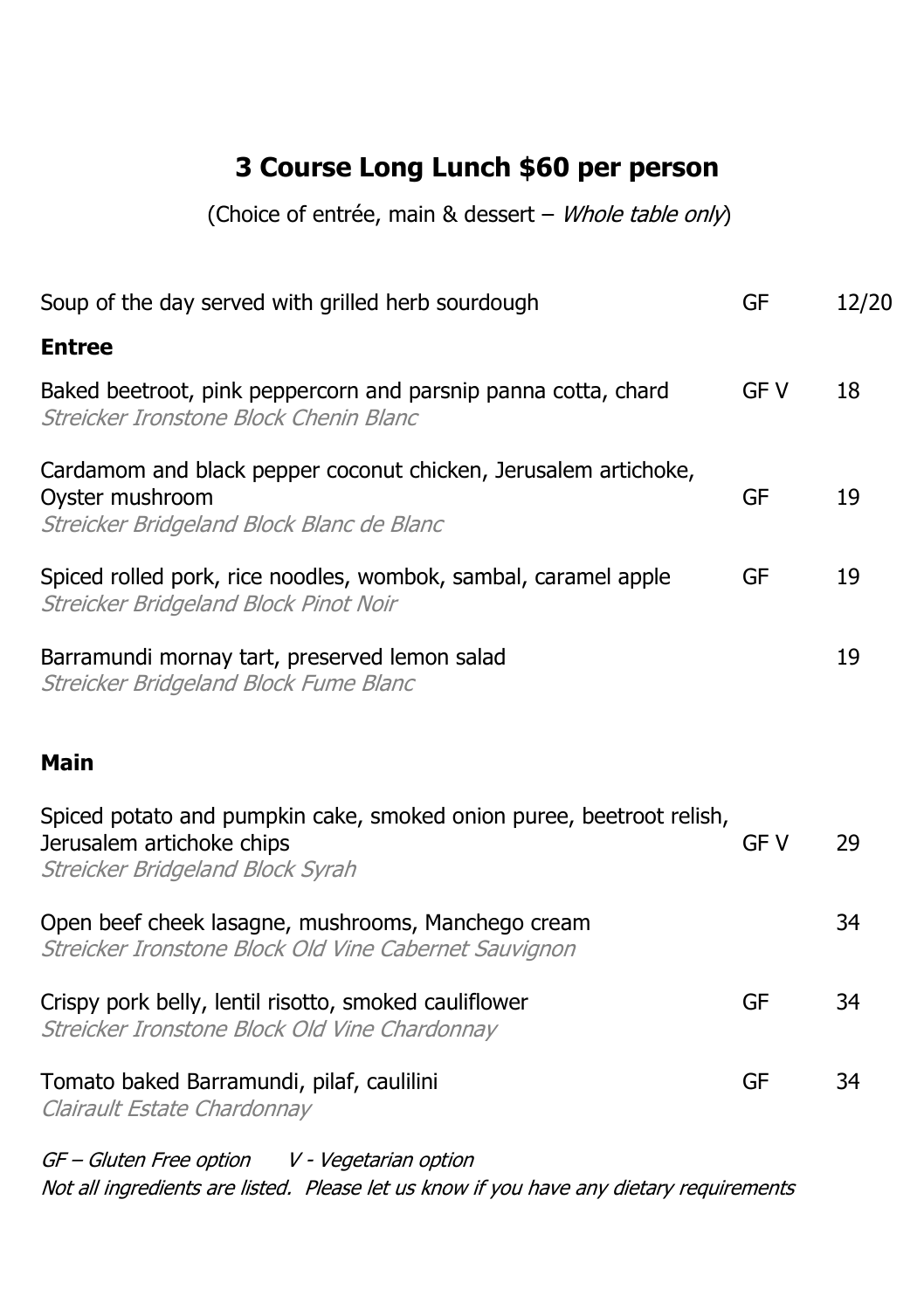# **3 Course Long Lunch \$60 per person**

(Choice of entrée, main & dessert – Whole table only)

| Soup of the day served with grilled herb sourdough                                                                                    | GF         | 12/20 |
|---------------------------------------------------------------------------------------------------------------------------------------|------------|-------|
| <b>Entree</b>                                                                                                                         |            |       |
| Baked beetroot, pink peppercorn and parsnip panna cotta, chard<br>Streicker Ironstone Block Chenin Blanc                              | <b>GFV</b> | 18    |
| Cardamom and black pepper coconut chicken, Jerusalem artichoke,<br>Oyster mushroom<br>Streicker Bridgeland Block Blanc de Blanc       | GF         | 19    |
| Spiced rolled pork, rice noodles, wombok, sambal, caramel apple<br>Streicker Bridgeland Block Pinot Noir                              | GF         | 19    |
| Barramundi mornay tart, preserved lemon salad<br>Streicker Bridgeland Block Fume Blanc                                                |            | 19    |
| <b>Main</b>                                                                                                                           |            |       |
| Spiced potato and pumpkin cake, smoked onion puree, beetroot relish,<br>Jerusalem artichoke chips<br>Streicker Bridgeland Block Syrah | GF V       | 29    |
| Open beef cheek lasagne, mushrooms, Manchego cream<br>Streicker Ironstone Block Old Vine Cabernet Sauvignon                           |            | 34    |
| Crispy pork belly, lentil risotto, smoked cauliflower<br>Streicker Ironstone Block Old Vine Chardonnay                                | GF         | 34    |
| Tomato baked Barramundi, pilaf, caulilini<br>Clairault Estate Chardonnay                                                              | GF         | 34    |
|                                                                                                                                       |            |       |

GF – Gluten Free option V - Vegetarian option Not all ingredients are listed. Please let us know if you have any dietary requirements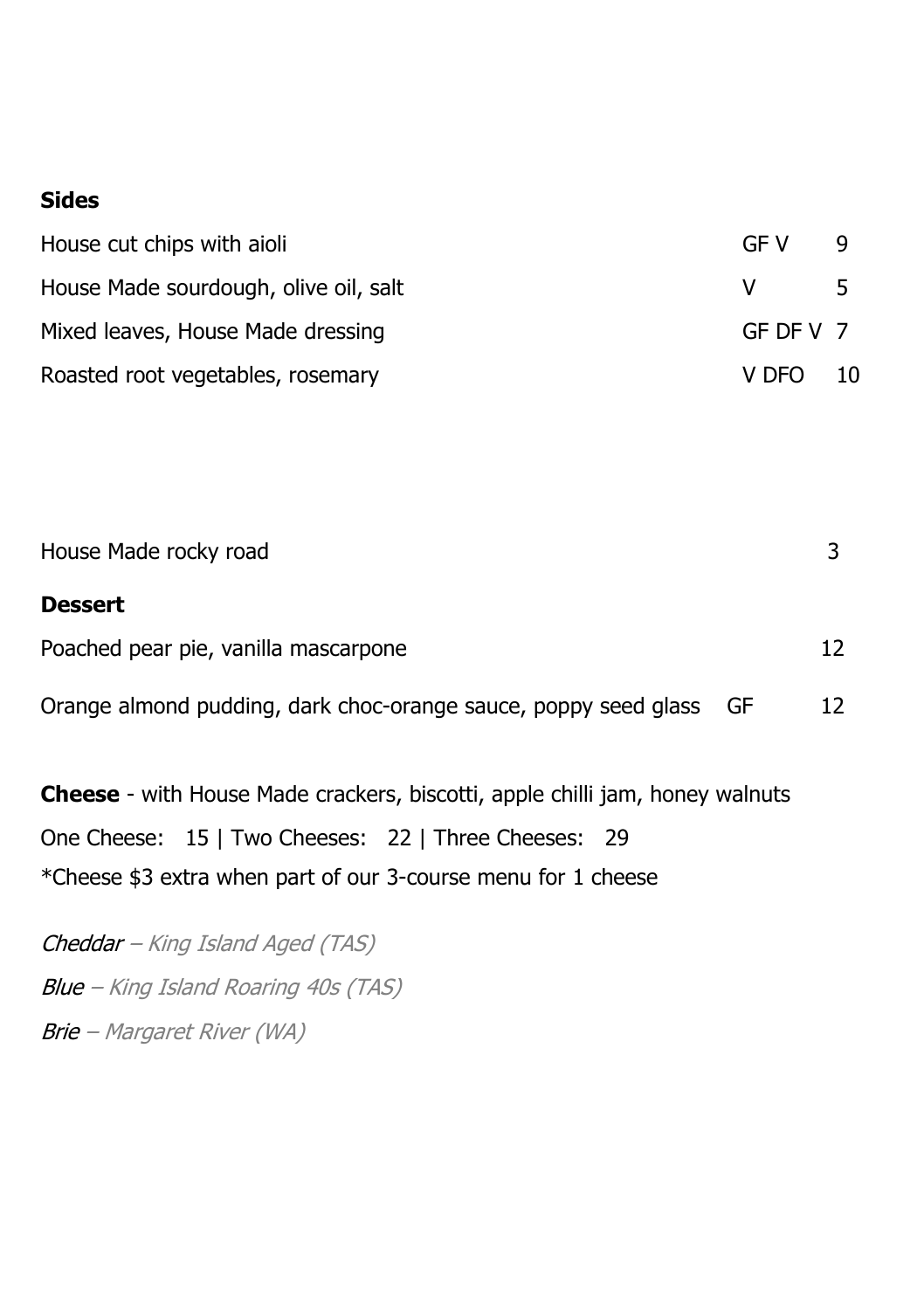#### **Sides**

| House cut chips with aioli            | GE V        |    |
|---------------------------------------|-------------|----|
| House Made sourdough, olive oil, salt |             | ъ. |
| Mixed leaves, House Made dressing     | $GF$ DF V 7 |    |
| Roasted root vegetables, rosemary     | V DFO       | 10 |

| House Made rocky road                |  |
|--------------------------------------|--|
| <b>Dessert</b>                       |  |
| Poached pear pie, vanilla mascarpone |  |

Orange almond pudding, dark choc-orange sauce, poppy seed glass GF 12

**Cheese** - with House Made crackers, biscotti, apple chilli jam, honey walnuts One Cheese: 15 | Two Cheeses: 22 | Three Cheeses: 29 \*Cheese \$3 extra when part of our 3-course menu for 1 cheese

Cheddar – King Island Aged (TAS) Blue – King Island Roaring 40s (TAS) Brie – Margaret River (WA)